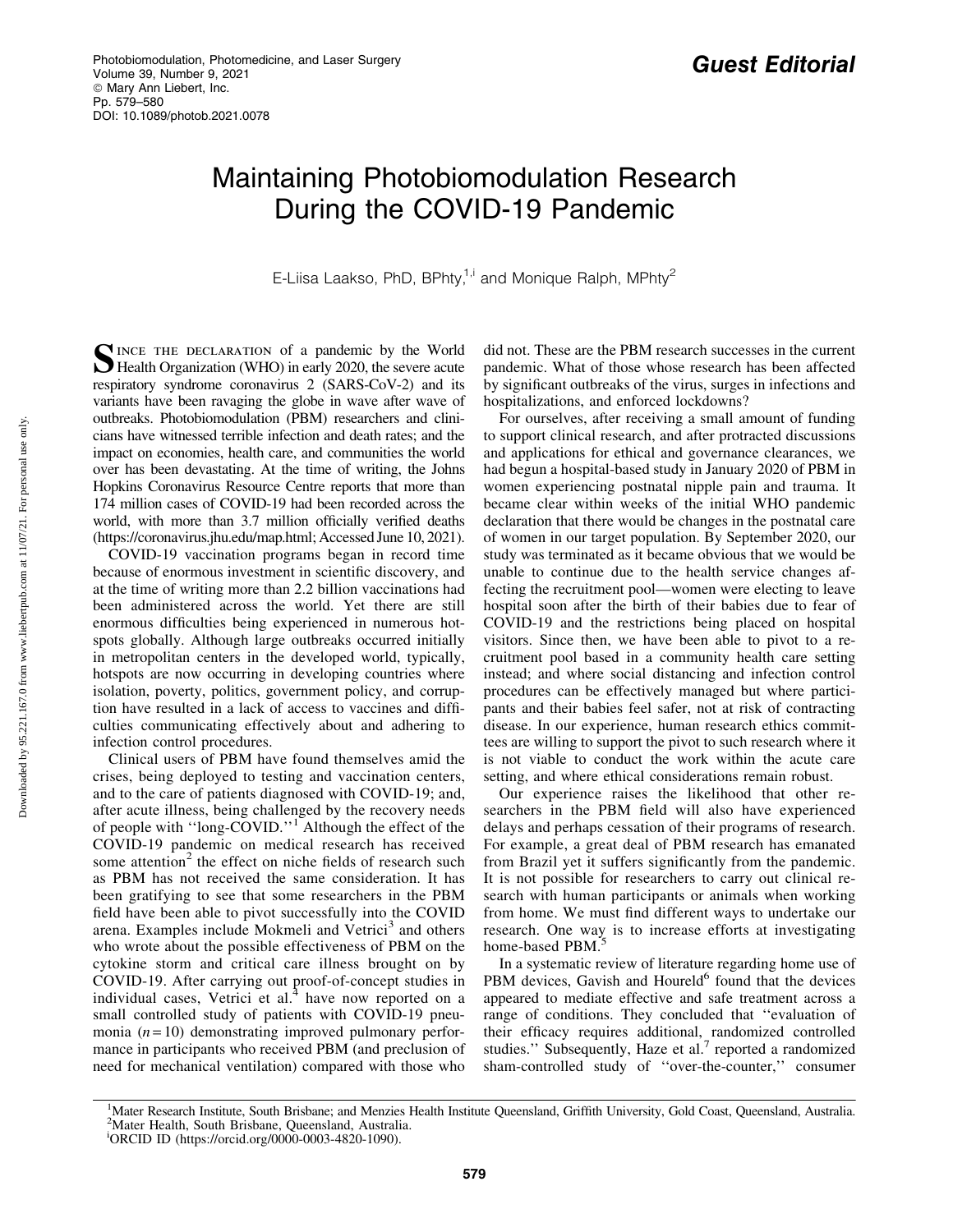## Maintaining Photobiomodulation Research During the COVID-19 Pandemic

E-Liisa Laakso, PhD, BPhty, $1,1$  and Monique Ralph, MPhty<sup>2</sup>

SINCE THE DECLARATION of a pandemic by the World<br>Health Organization (WHO) in early 2020, the severe acute respiratory syndrome coronavirus 2 (SARS-CoV-2) and its variants have been ravaging the globe in wave after wave of outbreaks. Photobiomodulation (PBM) researchers and clinicians have witnessed terrible infection and death rates; and the impact on economies, health care, and communities the world over has been devastating. At the time of writing, the Johns Hopkins Coronavirus Resource Centre reports that more than 174 million cases of COVID-19 had been recorded across the world, with more than 3.7 million officially verified deaths (https://coronavirus.jhu.edu/map.html; Accessed June 10, 2021).

COVID-19 vaccination programs began in record time because of enormous investment in scientific discovery, and at the time of writing more than 2.2 billion vaccinations had been administered across the world. Yet there are still enormous difficulties being experienced in numerous hotspots globally. Although large outbreaks occurred initially in metropolitan centers in the developed world, typically, hotspots are now occurring in developing countries where isolation, poverty, politics, government policy, and corruption have resulted in a lack of access to vaccines and difficulties communicating effectively about and adhering to infection control procedures.

Clinical users of PBM have found themselves amid the crises, being deployed to testing and vaccination centers, and to the care of patients diagnosed with COVID-19; and, after acute illness, being challenged by the recovery needs of people with ''long-COVID.''<sup>1</sup> Although the effect of the COVID-19 pandemic on medical research has received some attention<sup>2</sup> the effect on niche fields of research such as PBM has not received the same consideration. It has been gratifying to see that some researchers in the PBM field have been able to pivot successfully into the COVID arena. Examples include Mokmeli and Vetrici<sup>3</sup> and others who wrote about the possible effectiveness of PBM on the cytokine storm and critical care illness brought on by COVID-19. After carrying out proof-of-concept studies in individual cases, Vetrici et al. $4$  have now reported on a small controlled study of patients with COVID-19 pneumonia  $(n=10)$  demonstrating improved pulmonary performance in participants who received PBM (and preclusion of need for mechanical ventilation) compared with those who did not. These are the PBM research successes in the current pandemic. What of those whose research has been affected by significant outbreaks of the virus, surges in infections and hospitalizations, and enforced lockdowns?

For ourselves, after receiving a small amount of funding to support clinical research, and after protracted discussions and applications for ethical and governance clearances, we had begun a hospital-based study in January 2020 of PBM in women experiencing postnatal nipple pain and trauma. It became clear within weeks of the initial WHO pandemic declaration that there would be changes in the postnatal care of women in our target population. By September 2020, our study was terminated as it became obvious that we would be unable to continue due to the health service changes affecting the recruitment pool—women were electing to leave hospital soon after the birth of their babies due to fear of COVID-19 and the restrictions being placed on hospital visitors. Since then, we have been able to pivot to a recruitment pool based in a community health care setting instead; and where social distancing and infection control procedures can be effectively managed but where participants and their babies feel safer, not at risk of contracting disease. In our experience, human research ethics committees are willing to support the pivot to such research where it is not viable to conduct the work within the acute care setting, and where ethical considerations remain robust.

Our experience raises the likelihood that other researchers in the PBM field will also have experienced delays and perhaps cessation of their programs of research. For example, a great deal of PBM research has emanated from Brazil yet it suffers significantly from the pandemic. It is not possible for researchers to carry out clinical research with human participants or animals when working from home. We must find different ways to undertake our research. One way is to increase efforts at investigating home-based PBM.

In a systematic review of literature regarding home use of PBM devices, Gavish and Houreld<sup>6</sup> found that the devices appeared to mediate effective and safe treatment across a range of conditions. They concluded that ''evaluation of their efficacy requires additional, randomized controlled studies." Subsequently, Haze et al. $<sup>7</sup>$  reported a randomized</sup> sham-controlled study of ''over-the-counter,'' consumer

<sup>&</sup>lt;sup>1</sup>Mater Research Institute, South Brisbane; and Menzies Health Institute Queensland, Griffith University, Gold Coast, Queensland, Australia.<br><sup>2</sup>Mater Health, South Brisbane, Queensland, Australia. <sup>2</sup>Mater Health, South Brisbane, Queensland, Australia.

i ORCID ID (https://orcid.org/0000-0003-4820-1090).